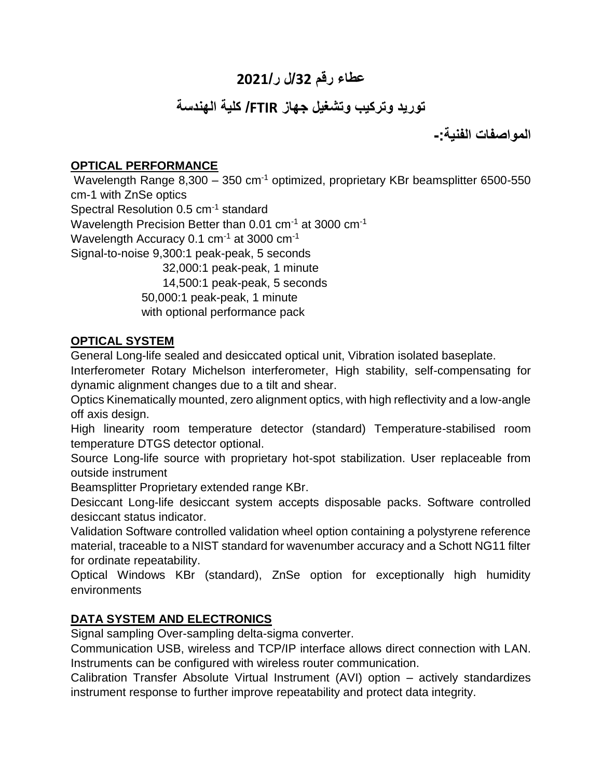# **عطاء رقم /23ل ر3232/**

# **توريد وتركيب وتشغيل جهاز FTIR/ كلية الهندسة**

**المواصفات الفنية-:**

## **OPTICAL PERFORMANCE**

Wavelength Range 8,300 – 350 cm<sup>-1</sup> optimized, proprietary KBr beamsplitter 6500-550 cm-1 with ZnSe optics Spectral Resolution 0.5 cm<sup>-1</sup> standard Wavelength Precision Better than 0.01 cm<sup>-1</sup> at 3000 cm<sup>-1</sup> Wavelength Accuracy 0.1 cm<sup>-1</sup> at 3000 cm<sup>-1</sup> Signal-to-noise 9,300:1 peak-peak, 5 seconds 32,000:1 peak-peak, 1 minute 14,500:1 peak-peak, 5 seconds 50,000:1 peak-peak, 1 minute with optional performance pack

#### **OPTICAL SYSTEM**

General Long-life sealed and desiccated optical unit, Vibration isolated baseplate.

Interferometer Rotary Michelson interferometer, High stability, self-compensating for dynamic alignment changes due to a tilt and shear.

Optics Kinematically mounted, zero alignment optics, with high reflectivity and a low-angle off axis design.

High linearity room temperature detector (standard) Temperature-stabilised room temperature DTGS detector optional.

Source Long-life source with proprietary hot-spot stabilization. User replaceable from outside instrument

Beamsplitter Proprietary extended range KBr.

Desiccant Long-life desiccant system accepts disposable packs. Software controlled desiccant status indicator.

Validation Software controlled validation wheel option containing a polystyrene reference material, traceable to a NIST standard for wavenumber accuracy and a Schott NG11 filter for ordinate repeatability.

Optical Windows KBr (standard), ZnSe option for exceptionally high humidity environments

# **DATA SYSTEM AND ELECTRONICS**

Signal sampling Over-sampling delta-sigma converter.

Communication USB, wireless and TCP/IP interface allows direct connection with LAN. Instruments can be configured with wireless router communication.

Calibration Transfer Absolute Virtual Instrument (AVI) option – actively standardizes instrument response to further improve repeatability and protect data integrity.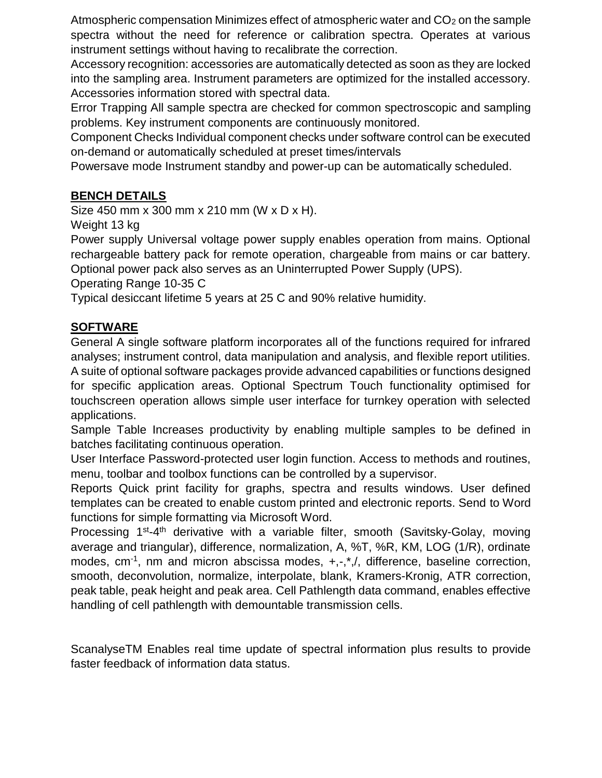Atmospheric compensation Minimizes effect of atmospheric water and  $CO<sub>2</sub>$  on the sample spectra without the need for reference or calibration spectra. Operates at various instrument settings without having to recalibrate the correction.

Accessory recognition: accessories are automatically detected as soon as they are locked into the sampling area. Instrument parameters are optimized for the installed accessory. Accessories information stored with spectral data.

Error Trapping All sample spectra are checked for common spectroscopic and sampling problems. Key instrument components are continuously monitored.

Component Checks Individual component checks under software control can be executed on-demand or automatically scheduled at preset times/intervals

Powersave mode Instrument standby and power-up can be automatically scheduled.

## **BENCH DETAILS**

Size 450 mm x 300 mm x 210 mm (W x D x H).

Weight 13 kg

Power supply Universal voltage power supply enables operation from mains. Optional rechargeable battery pack for remote operation, chargeable from mains or car battery. Optional power pack also serves as an Uninterrupted Power Supply (UPS).

Operating Range 10-35 C

Typical desiccant lifetime 5 years at 25 C and 90% relative humidity.

## **SOFTWARE**

General A single software platform incorporates all of the functions required for infrared analyses; instrument control, data manipulation and analysis, and flexible report utilities. A suite of optional software packages provide advanced capabilities or functions designed for specific application areas. Optional Spectrum Touch functionality optimised for touchscreen operation allows simple user interface for turnkey operation with selected applications.

Sample Table Increases productivity by enabling multiple samples to be defined in batches facilitating continuous operation.

User Interface Password-protected user login function. Access to methods and routines, menu, toolbar and toolbox functions can be controlled by a supervisor.

Reports Quick print facility for graphs, spectra and results windows. User defined templates can be created to enable custom printed and electronic reports. Send to Word functions for simple formatting via Microsoft Word.

Processing 1<sup>st</sup>-4<sup>th</sup> derivative with a variable filter, smooth (Savitsky-Golay, moving average and triangular), difference, normalization, A, %T, %R, KM, LOG (1/R), ordinate modes, cm<sup>-1</sup>, nm and micron abscissa modes, +,-,<sup>\*</sup>,/, difference, baseline correction, smooth, deconvolution, normalize, interpolate, blank, Kramers-Kronig, ATR correction, peak table, peak height and peak area. Cell Pathlength data command, enables effective handling of cell pathlength with demountable transmission cells.

ScanalyseTM Enables real time update of spectral information plus results to provide faster feedback of information data status.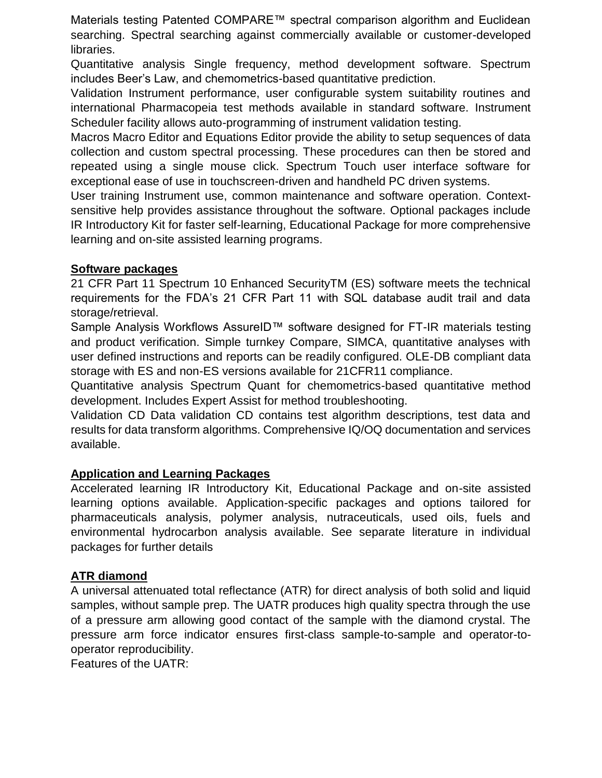Materials testing Patented COMPARE™ spectral comparison algorithm and Euclidean searching. Spectral searching against commercially available or customer-developed libraries.

Quantitative analysis Single frequency, method development software. Spectrum includes Beer's Law, and chemometrics-based quantitative prediction.

Validation Instrument performance, user configurable system suitability routines and international Pharmacopeia test methods available in standard software. Instrument Scheduler facility allows auto-programming of instrument validation testing.

Macros Macro Editor and Equations Editor provide the ability to setup sequences of data collection and custom spectral processing. These procedures can then be stored and repeated using a single mouse click. Spectrum Touch user interface software for exceptional ease of use in touchscreen-driven and handheld PC driven systems.

User training Instrument use, common maintenance and software operation. Contextsensitive help provides assistance throughout the software. Optional packages include IR Introductory Kit for faster self-learning, Educational Package for more comprehensive learning and on-site assisted learning programs.

#### **Software packages**

21 CFR Part 11 Spectrum 10 Enhanced SecurityTM (ES) software meets the technical requirements for the FDA's 21 CFR Part 11 with SQL database audit trail and data storage/retrieval.

Sample Analysis Workflows AssureID™ software designed for FT-IR materials testing and product verification. Simple turnkey Compare, SIMCA, quantitative analyses with user defined instructions and reports can be readily configured. OLE-DB compliant data storage with ES and non-ES versions available for 21CFR11 compliance.

Quantitative analysis Spectrum Quant for chemometrics-based quantitative method development. Includes Expert Assist for method troubleshooting.

Validation CD Data validation CD contains test algorithm descriptions, test data and results for data transform algorithms. Comprehensive IQ/OQ documentation and services available.

#### **Application and Learning Packages**

Accelerated learning IR Introductory Kit, Educational Package and on-site assisted learning options available. Application-specific packages and options tailored for pharmaceuticals analysis, polymer analysis, nutraceuticals, used oils, fuels and environmental hydrocarbon analysis available. See separate literature in individual packages for further details

#### **ATR diamond**

A universal attenuated total reflectance (ATR) for direct analysis of both solid and liquid samples, without sample prep. The UATR produces high quality spectra through the use of a pressure arm allowing good contact of the sample with the diamond crystal. The pressure arm force indicator ensures first-class sample-to-sample and operator-tooperator reproducibility.

Features of the UATR: